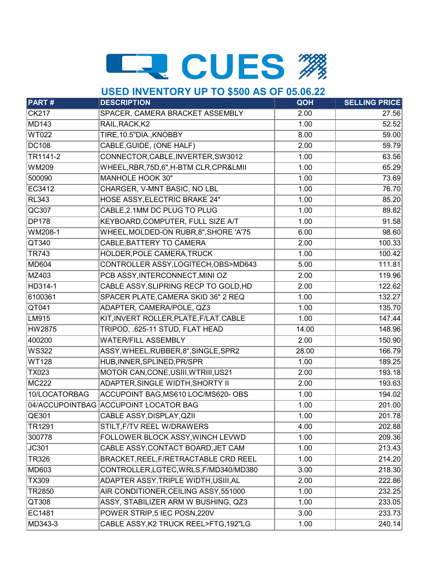# LE CUES #

### **USED INVENTORY UP TO \$500 AS OF 05.06.22**

| <b>PART#</b>  | <u> T - 1</u><br><b>DESCRIPTION</b>      | QOH   | <b>SELLING PRICE</b> |
|---------------|------------------------------------------|-------|----------------------|
| <b>CK217</b>  | SPACER, CAMERA BRACKET ASSEMBLY          | 2.00  | 27.56                |
| <b>MD143</b>  | RAIL, RACK, K2                           | 1.00  | 52.52                |
| <b>WT022</b>  | TIRE, 10.5"DIA., KNOBBY                  | 8.00  | 59.00                |
| <b>DC108</b>  | CABLE, GUIDE, (ONE HALF)                 | 2.00  | 59.79                |
| TR1141-2      | CONNECTOR, CABLE, INVERTER, SW3012       | 1.00  | 63.56                |
| <b>WM209</b>  | WHEEL, RBR, 75D, 6", H-BTM CLR, CPR&LMII | 1.00  | 65.29                |
| 500090        | <b>MANHOLE HOOK 30"</b>                  | 1.00  | 73.69                |
| EC3412        | CHARGER, V-MNT BASIC, NO LBL             | 1.00  | 76.70                |
| <b>RL343</b>  | <b>HOSE ASSY, ELECTRIC BRAKE 24"</b>     | 1.00  | 85.20                |
| QC307         | CABLE, 2.1MM DC PLUG TO PLUG             | 1.00  | 89.82                |
| <b>DP178</b>  | KEYBOARD, COMPUTER, FULL SIZE A/T        | 1.00  | 91.58                |
| WM208-1       | WHEEL, MOLDED-ON RUBR, 8", SHORE 'A'75   | 6.00  | 98.60                |
| QT340         | CABLE, BATTERY TO CAMERA                 | 2.00  | 100.33               |
| <b>TR743</b>  | HOLDER, POLE CAMERA, TRUCK               | 1.00  | 100.42               |
| <b>MD604</b>  | CONTROLLER ASSY, LOGITECH, OBS>MD643     | 5.00  | 111.81               |
| MZ403         | PCB ASSY, INTERCONNECT, MINI OZ          | 2.00  | 119.96               |
| HD314-1       | CABLE ASSY, SLIPRING RECP TO GOLD, HD    | 2.00  | 122.62               |
| 6100361       | SPACER PLATE, CAMERA SKID 36" 2 REQ      | 1.00  | 132.27               |
| QT041         | ADAPTER, CAMERA/POLE, QZ3                | 1.00  | 135.70               |
| LM915         | KIT, INVERT ROLLER, PLATE, F/LAT. CABLE  | 1.00  | 147.44               |
| HW2875        | TRIPOD, .625-11 STUD, FLAT HEAD          | 14.00 | 148.96               |
| 400200        | <b>WATER/FILL ASSEMBLY</b>               | 2.00  | 150.90               |
| <b>WS322</b>  | ASSY, WHEEL, RUBBER, 8", SINGLE, SPR2    | 28.00 | 166.79               |
| <b>WT128</b>  | HUB, INNER, SPLINED, PR/SPR              | 1.00  | 189.25               |
| <b>TX023</b>  | MOTOR CAN, CONE, USIII, WTRIII, US21     | 2.00  | 193.18               |
| <b>MC222</b>  | ADAPTER, SINGLE WIDTH, SHORTY II         | 2.00  | 193.63               |
| 10/LOCATORBAG | ACCUPOINT BAG, MS610 LOC/MS620- OBS      | 1.00  | 194.02               |
|               | 04/ACCUPOINTBAG ACCUPOINT LOCATOR BAG    | 1.00  | 201.00               |
| QE301         | CABLE ASSY, DISPLAY, QZII                | 1.00  | 201.78               |
| TR1291        | STILT, F/TV REEL W/DRAWERS               | 4.00  | 202.88               |
| 300778        | FOLLOWER BLOCK ASSY, WINCH LEVWD         | 1.00  | 209.36               |
| JC301         | CABLE ASSY, CONTACT BOARD, JET CAM       | 1.00  | 213.43               |
| <b>TR326</b>  | BRACKET, REEL, F/RETRACTABLE CRD REEL    | 1.00  | 214.20               |
| MD603         | CONTROLLER, LGTEC, WRLS, F/MD340/MD380   | 3.00  | 218.30               |
| <b>TX309</b>  | ADAPTER ASSY, TRIPLE WIDTH, USIII, AL    | 2.00  | 222.86               |
| TR2850        | AIR CONDITIONER, CEILING ASSY, 551000    | 1.00  | 232.25               |
| QT308         | ASSY, STABILIZER ARM W BUSHING, QZ3      | 1.00  | 233.05               |
| EC1481        | POWER STRIP,5 IEC POSN,220V              | 3.00  | 233.73               |
| MD343-3       | CABLE ASSY, K2 TRUCK REEL>FTG, 192"LG    | 1.00  | 240.14               |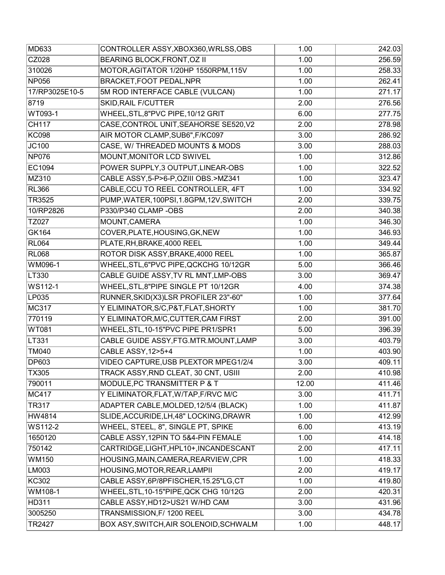| MD633          | CONTROLLER ASSY, XBOX360, WRLSS, OBS     | 1.00  | 242.03 |
|----------------|------------------------------------------|-------|--------|
| CZ028          | <b>BEARING BLOCK, FRONT, OZ II</b>       | 1.00  | 256.59 |
| 310026         | MOTOR, AGITATOR 1/20HP 1550RPM, 115V     | 1.00  | 258.33 |
| <b>NP056</b>   | <b>BRACKET, FOOT PEDAL, NPR</b>          | 1.00  | 262.41 |
| 17/RP3025E10-5 | 5M ROD INTERFACE CABLE (VULCAN)          | 1.00  | 271.17 |
| 8719           | <b>SKID, RAIL F/CUTTER</b>               | 2.00  | 276.56 |
| WT093-1        | WHEEL, STL, 8"PVC PIPE, 10/12 GRIT       | 6.00  | 277.75 |
| <b>CH117</b>   | CASE, CONTROL UNIT, SEAHORSE SE520, V2   | 2.00  | 278.98 |
| <b>KC098</b>   | AIR MOTOR CLAMP, SUB6", F/KC097          | 3.00  | 286.92 |
| JC100          | CASE, W/ THREADED MOUNTS & MODS          | 3.00  | 288.03 |
| <b>NP076</b>   | MOUNT, MONITOR LCD SWIVEL                | 1.00  | 312.86 |
| EC1094         | POWER SUPPLY, 3 OUTPUT, LINEAR-OBS       | 1.00  | 322.52 |
| MZ310          | CABLE ASSY, 5-P>6-P, OZIII OBS.>MZ341    | 1.00  | 323.47 |
| <b>RL366</b>   | CABLE, CCU TO REEL CONTROLLER, 4FT       | 1.00  | 334.92 |
| <b>TR3525</b>  | PUMP, WATER, 100PSI, 1.8GPM, 12V, SWITCH | 2.00  | 339.75 |
| 10/RP2826      | P330/P340 CLAMP -OBS                     | 2.00  | 340.38 |
| TZ027          | MOUNT, CAMERA                            | 1.00  | 346.30 |
| <b>GK164</b>   | COVER, PLATE, HOUSING, GK, NEW           | 1.00  | 346.93 |
| <b>RL064</b>   | PLATE, RH, BRAKE, 4000 REEL              | 1.00  | 349.44 |
| <b>RL068</b>   | ROTOR DISK ASSY, BRAKE, 4000 REEL        | 1.00  | 365.87 |
| WM096-1        | WHEEL, STL, 6"PVC PIPE, QCKCHG 10/12GR   | 5.00  | 366.46 |
| LT330          | CABLE GUIDE ASSY, TV RL MNT, LMP-OBS     | 3.00  | 369.47 |
| WS112-1        | WHEEL, STL, 8"PIPE SINGLE PT 10/12GR     | 4.00  | 374.38 |
| LP035          | RUNNER, SKID(X3)LSR PROFILER 23"-60"     | 1.00  | 377.64 |
| <b>MC317</b>   | Y ELIMINATOR, S/C, P&T, FLAT, SHORTY     | 1.00  | 381.70 |
| 770119         | Y ELIMINATOR, M/C, CUTTER, CAM FIRST     | 2.00  | 391.00 |
| <b>WT081</b>   | WHEEL, STL, 10-15"PVC PIPE PR1/SPR1      | 5.00  | 396.39 |
| LT331          | CABLE GUIDE ASSY, FTG.MTR.MOUNT, LAMP    | 3.00  | 403.79 |
| <b>TM040</b>   | <b>CABLE ASSY, 12&gt;5+4</b>             | 1.00  | 403.90 |
| <b>DP603</b>   | VIDEO CAPTURE, USB PLEXTOR MPEG1/2/4     | 3.00  | 409.11 |
| TX305          | TRACK ASSY, RND CLEAT, 30 CNT, USIII     | 2.00  | 410.98 |
| 790011         | MODULE, PC TRANSMITTER P & T             | 12.00 | 411.46 |
| <b>MC417</b>   | Y ELIMINATOR, FLAT, W/TAP, F/RVC M/C     | 3.00  | 411.71 |
| <b>TR317</b>   | ADAPTER CABLE, MOLDED, 12/5/4 (BLACK)    | 1.00  | 411.87 |
| HW4814         | SLIDE, ACCURIDE, LH, 48" LOCKING, DRAWR  | 1.00  | 412.99 |
| WS112-2        | WHEEL, STEEL, 8", SINGLE PT, SPIKE       | 6.00  | 413.19 |
| 1650120        | CABLE ASSY, 12PIN TO 5&4-PIN FEMALE      | 1.00  | 414.18 |
| 750142         | CARTRIDGE, LIGHT, HPL10+, INCANDESCANT   | 2.00  | 417.11 |
| <b>WM150</b>   | HOUSING, MAIN, CAMERA, REARVIEW, CPR     | 1.00  | 418.33 |
| LM003          | HOUSING, MOTOR, REAR, LAMPII             | 2.00  | 419.17 |
| <b>KC302</b>   | CABLE ASSY, 6P/8PFISCHER, 15.25"LG, CT   | 1.00  | 419.80 |
| WM108-1        | WHEEL, STL, 10-15"PIPE, QCK CHG 10/12G   | 2.00  | 420.31 |
| HD311          | CABLE ASSY, HD12>US21 W/HD CAM           | 3.00  | 431.96 |
| 3005250        | TRANSMISSION, F/ 1200 REEL               | 3.00  | 434.78 |
| TR2427         | BOX ASY, SWITCH, AIR SOLENOID, SCHWALM   | 1.00  | 448.17 |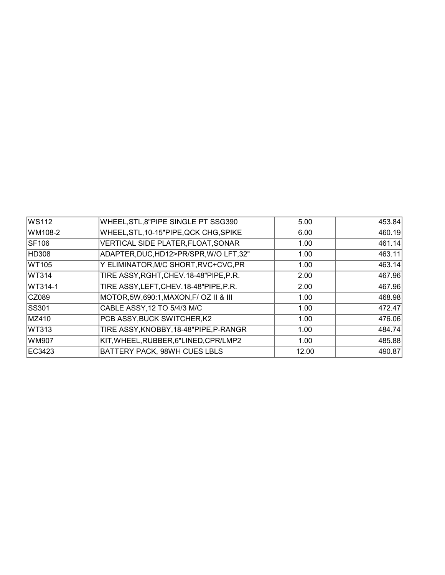| <b>WS112</b> | WHEEL, STL, 8"PIPE SINGLE PT SSG390      | 5.00  | 453.84 |
|--------------|------------------------------------------|-------|--------|
| WM108-2      | WHEEL, STL, 10-15"PIPE, QCK CHG, SPIKE   | 6.00  | 460.19 |
| <b>SF106</b> | VERTICAL SIDE PLATER, FLOAT, SONAR       | 1.00  | 461.14 |
| <b>HD308</b> | ADAPTER, DUC, HD12>PR/SPR, W/O LFT, 32"  | 1.00  | 463.11 |
| WT105        | Y ELIMINATOR, M/C SHORT, RVC+CVC, PR     | 1.00  | 463.14 |
| WT314        | TIRE ASSY, RGHT, CHEV. 18-48" PIPE, P.R. | 2.00  | 467.96 |
| WT314-1      | TIRE ASSY, LEFT, CHEV. 18-48" PIPE, P.R. | 2.00  | 467.96 |
| CZ089        | MOTOR, 5W, 690:1, MAXON, F/ OZ II & III  | 1.00  | 468.98 |
| <b>SS301</b> | CABLE ASSY, 12 TO 5/4/3 M/C              | 1.00  | 472.47 |
| MZ410        | PCB ASSY, BUCK SWITCHER, K2              | 1.00  | 476.06 |
| WT313        | TIRE ASSY, KNOBBY, 18-48"PIPE, P-RANGR   | 1.00  | 484.74 |
| WM907        | KIT, WHEEL, RUBBER, 6"LINED, CPR/LMP2    | 1.00  | 485.88 |
| EC3423       | BATTERY PACK, 98WH CUES LBLS             | 12.00 | 490.87 |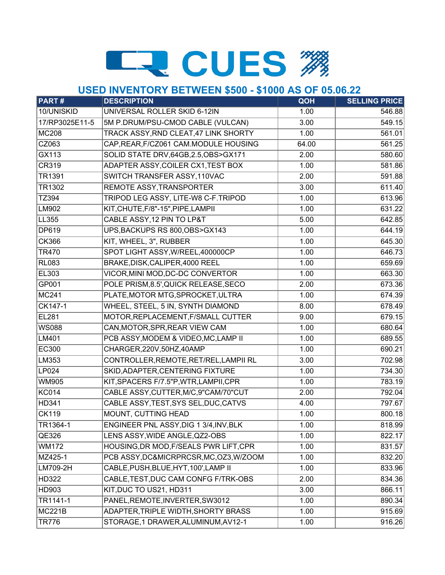# **ER CUES ##**

### **USED INVENTORY BETWEEN \$500 - \$1000 AS OF 05.06.22**

| <b>PART#</b>   | <b>DESCRIPTION</b>                      | QOH   | <b>SELLING PRICE</b> |
|----------------|-----------------------------------------|-------|----------------------|
| 10/UNISKID     | UNIVERSAL ROLLER SKID 6-12IN            | 1.00  | 546.88               |
| 17/RP3025E11-5 | 5M P.DRUM/PSU-CMOD CABLE (VULCAN)       | 3.00  | 549.15               |
| <b>MC208</b>   | TRACK ASSY, RND CLEAT, 47 LINK SHORTY   | 1.00  | 561.01               |
| CZ063          | CAP, REAR, F/CZ061 CAM. MODULE HOUSING  | 64.00 | 561.25               |
| GX113          | SOLID STATE DRV, 64GB, 2.5, OBS>GX171   | 2.00  | 580.60               |
| CR319          | ADAPTER ASSY, COILER CX1, TEST BOX      | 1.00  | 581.86               |
| <b>TR1391</b>  | SWITCH TRANSFER ASSY, 110VAC            | 2.00  | 591.88               |
| TR1302         | REMOTE ASSY, TRANSPORTER                | 3.00  | 611.40               |
| TZ394          | TRIPOD LEG ASSY, LITE-W8 C-F.TRIPOD     | 1.00  | 613.96               |
| LM902          | KIT, CHUTE, F/8"-15", PIPE, LAMPII      | 1.00  | 631.22               |
| LL355          | CABLE ASSY, 12 PIN TO LP&T              | 5.00  | 642.85               |
| DP619          | UPS, BACKUPS RS 800, OBS>GX143          | 1.00  | 644.19               |
| <b>CK366</b>   | KIT, WHEEL, 3", RUBBER                  | 1.00  | 645.30               |
| <b>TR470</b>   | SPOT LIGHT ASSY, W/REEL, 400000CP       | 1.00  | 646.73               |
| <b>RL083</b>   | BRAKE, DISK, CALIPER, 4000 REEL         | 1.00  | 659.69               |
| EL303          | VICOR, MINI MOD, DC-DC CONVERTOR        | 1.00  | 663.30               |
| GP001          | POLE PRISM, 8.5', QUICK RELEASE, SECO   | 2.00  | 673.36               |
| <b>MC241</b>   | PLATE, MOTOR MTG, SPROCKET, ULTRA       | 1.00  | 674.39               |
| CK147-1        | WHEEL, STEEL, 5 IN, SYNTH DIAMOND       | 8.00  | 678.49               |
| <b>EL281</b>   | MOTOR, REPLACEMENT, F/SMALL CUTTER      | 9.00  | 679.15               |
| <b>WS088</b>   | CAN, MOTOR, SPR, REAR VIEW CAM          | 1.00  | 680.64               |
| LM401          | PCB ASSY, MODEM & VIDEO, MC, LAMP II    | 1.00  | 689.55               |
| <b>EC300</b>   | CHARGER, 220V, 50HZ, 40AMP              | 1.00  | 690.21               |
| LM353          | CONTROLLER, REMOTE, RET/REL, LAMPII RL  | 3.00  | 702.98               |
| LP024          | SKID, ADAPTER, CENTERING FIXTURE        | 1.00  | 734.30               |
| <b>WM905</b>   | KIT, SPACERS F/7.5"P, WTR, LAMPII, CPR  | 1.00  | 783.19               |
| <b>KC014</b>   | CABLE ASSY, CUTTER, M/C, 9"CAM/70"CUT   | 2.00  | 792.04               |
| HD341          | CABLE ASSY, TEST, SYS SEL, DUC, CATVS   | 4.00  | 797.67               |
| <b>CK119</b>   | <b>MOUNT, CUTTING HEAD</b>              | 1.00  | 800.18               |
| TR1364-1       | ENGINEER PNL ASSY, DIG 1 3/4, INV, BLK  | 1.00  | 818.99               |
| QE326          | LENS ASSY, WIDE ANGLE, QZ2-OBS          | 1.00  | 822.17               |
| <b>WM172</b>   | HOUSING, DR MOD, F/SEALS PWR LIFT, CPR  | 1.00  | 831.57               |
| MZ425-1        | PCB ASSY, DC&MICRPRCSR, MC, OZ3, W/ZOOM | 1.00  | 832.20               |
| LM709-2H       | CABLE, PUSH, BLUE, HYT, 100', LAMP II   | 1.00  | 833.96               |
| HD322          | CABLE, TEST, DUC CAM CONFG F/TRK-OBS    | 2.00  | 834.36               |
| HD903          | KIT, DUC TO US21, HD311                 | 3.00  | 866.11               |
| TR1141-1       | PANEL, REMOTE, INVERTER, SW3012         | 1.00  | 890.34               |
| <b>MC221B</b>  | ADAPTER, TRIPLE WIDTH, SHORTY BRASS     | 1.00  | 915.69               |
| <b>TR776</b>   | STORAGE, 1 DRAWER, ALUMINUM, AV12-1     | 1.00  | $\overline{916.26}$  |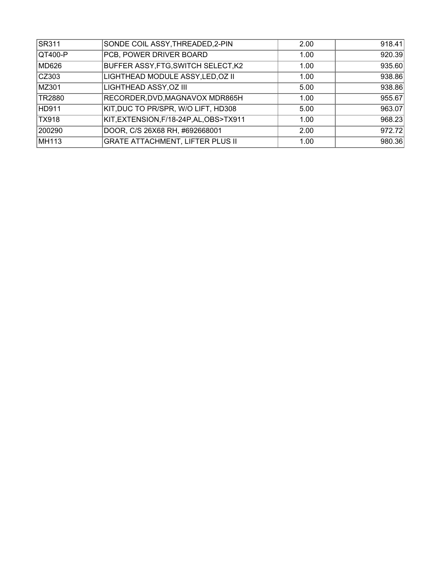| <b>SR311</b> | SONDE COIL ASSY, THREADED, 2-PIN           | 2.00 | 918.41 |
|--------------|--------------------------------------------|------|--------|
| $ QT400-P$   | PCB, POWER DRIVER BOARD                    | 1.00 | 920.39 |
| MD626        | <b>BUFFER ASSY, FTG, SWITCH SELECT, K2</b> | 1.00 | 935.60 |
| CZ303        | LIGHTHEAD MODULE ASSY, LED, OZ II          | 1.00 | 938.86 |
| MZ301        | LIGHTHEAD ASSY, OZ III                     | 5.00 | 938.86 |
| TR2880       | RECORDER, DVD, MAGNAVOX MDR865H            | 1.00 | 955.67 |
| HD911        | KIT, DUC TO PR/SPR, W/O LIFT, HD308        | 5.00 | 963.07 |
| TX918        | KIT, EXTENSION, F/18-24P, AL, OBS>TX911    | 1.00 | 968.23 |
| 200290       | DOOR, C/S 26X68 RH, #692668001             | 2.00 | 972.72 |
| MH113        | <b>GRATE ATTACHMENT, LIFTER PLUS II</b>    | 1.00 | 980.36 |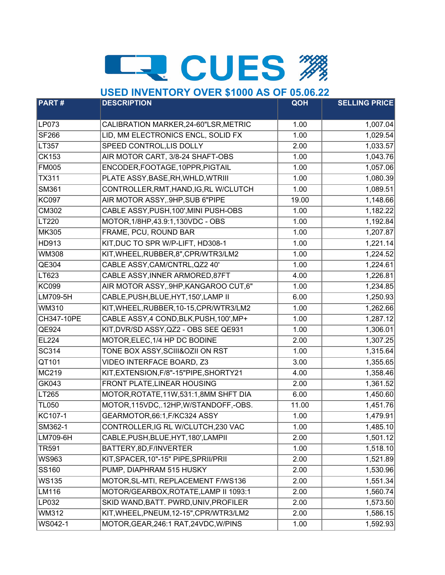# **LE CUES #**

#### **PART # DESCRIPTION QOH SELLING PRICE** LP073 CALIBRATION MARKER, 24-60"LSR, METRIC | 1.00 | 1,007.04 SF266 LID, MM ELECTRONICS ENCL, SOLID FX 1.00 1,029.54 LT357 SPEED CONTROL,LIS DOLLY 2.00 1, 2.00 1, 333.57 CK153 AIR MOTOR CART, 3/8-24 SHAFT-OBS 1.00 1,000 1,043.76 FM005 ENCODER, FOOTAGE, 10PPR, PIGTAIL 1.00 1.00 1.057.06 TX311 PLATE ASSY,BASE,RH,WHLD,WTRIII 1.00 1,080.39 SM361 CONTROLLER,RMT,HAND,IG,RL W/CLUTCH 1.00 1.089.51 KC097 AIR MOTOR ASSY, 9HP, SUB 6"PIPE 19.00 19.00 1,148.66 CM302 CABLE ASSY, PUSH, 100', MINI PUSH-OBS 1.00 1.00 1.182.22 LT220 MOTOR,1/8HP,43.9:1,130VDC - OBS 1.00 1,192.84 MK305 FRAME, PCU, ROUND BAR 1.00 1.00 1,207.87 HD913 KIT,DUC TO SPR W/P-LIFT, HD308-1 1.00 100 1,221.14 WM308 KIT,WHEEL,RUBBER,8",CPR/WTR3/LM2 1.00 1,224.52 QE304 CABLE ASSY, CAM/CNTRL, QZ2 40' 1.00 1.224.61 LT623 CABLE ASSY, INNER ARMORED, 87FT 4.00 1,226.81 KC099 AIR MOTOR ASSY, 9HP, KANGAROO CUT, 6" | 1.00 | 1,234.85 LM709-5H CABLE,PUSH,BLUE,HYT,150',LAMP II 6.00 1,250.93 WM310 KIT,WHEEL,RUBBER,10-15,CPR/WTR3/LM2 1.00 1,262.66 CH347-10PE CABLE ASSY,4 COND,BLK,PUSH,100',MP+ 1.00 1.00 1,287.12 QE924 KIT,DVR/SD ASSY,QZ2 - OBS SEE QE931 1.00 1.306.01 EL224 MOTOR, ELEC, 1/4 HP DC BODINE 2.00 1 2.00 1,307.25 SC314 TONE BOX ASSY, SCIII&OZII ON RST 1.00 1.00 1,315.64 QT101 VIDEO INTERFACE BOARD, Z3  $\vert$  3.00 1,355.65 MC219 KIT, EXTENSION, F/8"-15"PIPE, SHORTY21 4.00 4.00 1,358.46 GK043 FRONT PLATE, LINEAR HOUSING 2.00 1 2.00 1.361.52 LT265 MOTOR, ROTATE, 11W, 531:1, 8MM SHFT DIA 6.00 1,450.60 TL050 MOTOR,115VDC,.12HP,W/STANDOFF,-OBS. 1.00 1.451.76 KC107-1 GEARMOTOR,66:1,F/KC324 ASSY 1.00 1.00 1,479.91 SM362-1 CONTROLLER, IG RL W/CLUTCH, 230 VAC 1.00 1,00 1,485.10 LM709-6H CABLE,PUSH,BLUE,HYT,180',LAMPII 2.00 1,501.12 TR591 BATTERY, 8D, F/INVERTER 1.00 1.518.10 WS963 KIT,SPACER,10"-15" PIPE,SPRII/PRII | 2.00 1, 1,521.89 SS160 PUMP, DIAPHRAM 515 HUSKY 2.00 1,530.96 WS135 MOTOR, SL-MTI, REPLACEMENT F/WS136 2.00 1,551.34 LM116 MOTOR/GEARBOX,ROTATE,LAMP II 1093:1 2.00 1,560.74 LP032 SKID WAND,BATT, PWRD,UNIV, PROFILER 2.00 1573.50 WM312 KIT, WHEEL, PNEUM, 12-15", CPR/WTR3/LM2 | 2.00 | 1,586.15 WS042-1 MOTOR,GEAR,246:1 RAT,24VDC,W/PINS 1.00 1.00 1.592.93 **USED INVENTORY OVER \$1000 AS OF 05.06.22**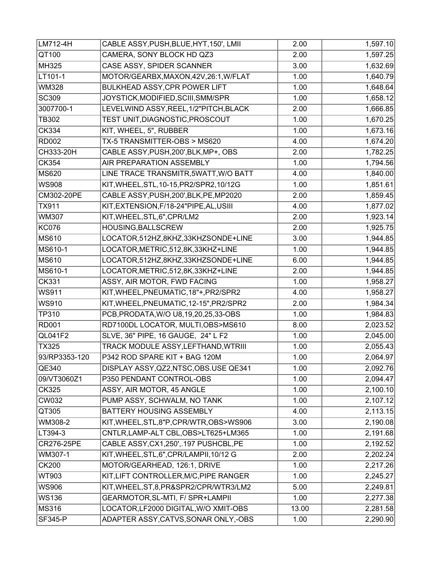| LM712-4H       | CABLE ASSY, PUSH, BLUE, HYT, 150', LMII  | 2.00  | 1,597.10 |
|----------------|------------------------------------------|-------|----------|
| QT100          | CAMERA, SONY BLOCK HD QZ3                | 2.00  | 1,597.25 |
| MH325          | CASE ASSY, SPIDER SCANNER                | 3.00  | 1,632.69 |
| LT101-1        | MOTOR/GEARBX, MAXON, 42V, 26:1, W/FLAT   | 1.00  | 1,640.79 |
| <b>WM328</b>   | BULKHEAD ASSY, CPR POWER LIFT            | 1.00  | 1,648.64 |
| <b>SC309</b>   | JOYSTICK, MODIFIED, SCIII, SMM/SPR       | 1.00  | 1,658.12 |
| 3007700-1      | LEVELWIND ASSY, REEL, 1/2"PITCH, BLACK   | 2.00  | 1,666.85 |
| <b>TB302</b>   | TEST UNIT, DIAGNOSTIC, PROSCOUT          | 1.00  | 1,670.25 |
| CK334          | KIT, WHEEL, 5", RUBBER                   | 1.00  | 1,673.16 |
| <b>RD002</b>   | TX-5 TRANSMITTER-OBS > MS620             | 4.00  | 1,674.20 |
| CH333-20H      | CABLE ASSY, PUSH, 200', BLK, MP+, OBS    | 2.00  | 1,782.25 |
| CK354          | AIR PREPARATION ASSEMBLY                 | 1.00  | 1,794.56 |
| MS620          | LINE TRACE TRANSMITR, 5WATT, W/O BATT    | 4.00  | 1,840.00 |
| <b>WS908</b>   | KIT, WHEEL, STL, 10-15, PR2/SPR2, 10/12G | 1.00  | 1,851.61 |
| CM302-20PE     | CABLE ASSY, PUSH, 200', BLK, PE, MP2020  | 2.00  | 1,859.45 |
| <b>TX911</b>   | KIT, EXTENSION, F/18-24" PIPE, AL, USIII | 4.00  | 1,877.02 |
| <b>WM307</b>   | KIT, WHEEL, STL, 6", CPR/LM2             | 2.00  | 1,923.14 |
| <b>KC076</b>   | HOUSING, BALLSCREW                       | 2.00  | 1,925.75 |
| MS610          | LOCATOR,512HZ,8KHZ,33KHZSONDE+LINE       | 3.00  | 1,944.85 |
| MS610-1        | LOCATOR, METRIC, 512, 8K, 33KHZ+LINE     | 1.00  | 1,944.85 |
| MS610          | LOCATOR,512HZ,8KHZ,33KHZSONDE+LINE       | 6.00  | 1,944.85 |
| MS610-1        | LOCATOR, METRIC, 512, 8K, 33KHZ+LINE     | 2.00  | 1,944.85 |
| <b>CK331</b>   | ASSY, AIR MOTOR, FWD FACING              | 1.00  | 1,958.27 |
| <b>WS911</b>   | KIT, WHEEL, PNEUMATIC, 18"+, PR2/SPR2    | 4.00  | 1,958.27 |
| <b>WS910</b>   | KIT, WHEEL, PNEUMATIC, 12-15", PR2/SPR2  | 2.00  | 1,984.34 |
| TP310          | PCB, PRODATA, W/O U8, 19, 20, 25, 33-OBS | 1.00  | 1,984.83 |
| <b>RD001</b>   | RD7100DL LOCATOR, MULTI, OBS>MS610       | 8.00  | 2,023.52 |
| QL041F2        | SLVE, 36" PIPE, 16 GAUGE, 24" L F2       | 1.00  | 2,045.00 |
| <b>TX325</b>   | TRACK MODULE ASSY, LEFTHAND, WTRIII      | 1.00  | 2,055.43 |
| 93/RP3353-120  | P342 ROD SPARE KIT + BAG 120M            | 1.00  | 2,064.97 |
| QE340          | DISPLAY ASSY, QZ2, NTSC, OBS. USE QE341  | 1.00  | 2,092.76 |
| 09/VT3060Z1    | P350 PENDANT CONTROL-OBS                 | 1.00  | 2,094.47 |
| CK325          | ASSY, AIR MOTOR, 45 ANGLE                | 1.00  | 2,100.10 |
| CW032          | PUMP ASSY, SCHWALM, NO TANK              | 1.00  | 2,107.12 |
| QT305          | BATTERY HOUSING ASSEMBLY                 | 4.00  | 2,113.15 |
| WM308-2        | KIT, WHEEL, STL, 8"P, CPR/WTR, OBS>WS906 | 3.00  | 2,190.08 |
| LT394-3        | CNTLR,LAMP-ALT CBL,OBS>LT625+LM365       | 1.00  | 2,191.68 |
| CR276-25PE     | CABLE ASSY, CX1, 250', .197 PUSHCBL, PE  | 1.00  | 2,192.52 |
| WM307-1        | KIT, WHEEL, STL, 6", CPR/LAMPII, 10/12 G | 2.00  | 2,202.24 |
| <b>CK200</b>   | MOTOR/GEARHEAD, 126:1, DRIVE             | 1.00  | 2,217.26 |
| WT903          | KIT, LIFT CONTROLLER, M/C, PIPE RANGER   | 1.00  | 2,245.27 |
| <b>WS906</b>   | KIT, WHEEL, ST, 8, PR&SPR2/CPR/WTR3/LM2  | 5.00  | 2,249.81 |
| <b>WS136</b>   | GEARMOTOR, SL-MTI, F/ SPR+LAMPII         | 1.00  | 2,277.38 |
| MS316          | LOCATOR, LF2000 DIGITAL, W/O XMIT-OBS    | 13.00 | 2,281.58 |
| <b>SF345-P</b> | ADAPTER ASSY, CATVS, SONAR ONLY, -OBS    | 1.00  | 2,290.90 |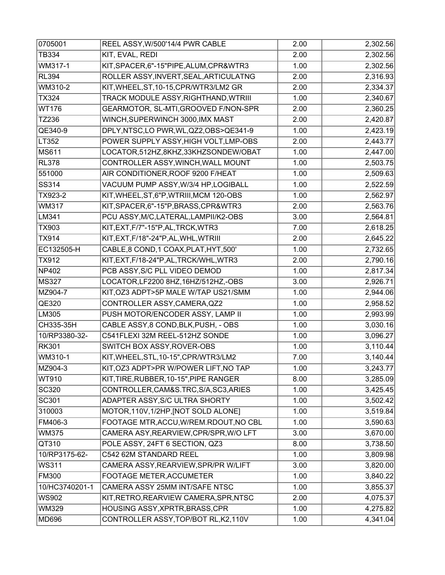| 0705001        | REEL ASSY, W/500'14/4 PWR CABLE          | 2.00              | 2,302.56 |
|----------------|------------------------------------------|-------------------|----------|
| <b>TB334</b>   | KIT, EVAL, REDI                          | 2.00              | 2,302.56 |
| WM317-1        | KIT, SPACER, 6"-15" PIPE, ALUM, CPR&WTR3 | 1.00              | 2,302.56 |
| <b>RL394</b>   | ROLLER ASSY, INVERT, SEAL, ARTICULATNG   | 2.00              | 2,316.93 |
| WM310-2        | KIT, WHEEL, ST, 10-15, CPR/WTR3/LM2 GR   | 2.00              | 2,334.37 |
| <b>TX324</b>   | TRACK MODULE ASSY, RIGHTHAND, WTRIII     | 1.00              | 2,340.67 |
| <b>WT176</b>   | GEARMOTOR, SL-MTI, GROOVED F/NON-SPR     | 2.00              | 2,360.25 |
| TZ236          | WINCH, SUPERWINCH 3000, IMX MAST         | 2.00              | 2,420.87 |
| QE340-9        | DPLY, NTSC, LO PWR, WL, QZ2, OBS>QE341-9 | 1.00              | 2,423.19 |
| LT352          | POWER SUPPLY ASSY, HIGH VOLT, LMP-OBS    | 2.00              | 2,443.77 |
| <b>MS611</b>   | LOCATOR,512HZ,8KHZ,33KHZSONDEW/OBAT      | 1.00              | 2,447.00 |
| <b>RL378</b>   | CONTROLLER ASSY, WINCH, WALL MOUNT       | 1.00              | 2,503.75 |
| 551000         | AIR CONDITIONER, ROOF 9200 F/HEAT        | 1.00              | 2,509.63 |
| SS314          | VACUUM PUMP ASSY, W/3/4 HP, LOGIBALL     | $\overline{1.00}$ | 2,522.59 |
| TX923-2        | KIT, WHEEL, ST, 6"P, WTRIII, MCM 120-OBS | 1.00              | 2,562.97 |
| <b>WM317</b>   | KIT, SPACER, 6"-15"P, BRASS, CPR&WTR3    | 2.00              | 2,563.76 |
| LM341          | PCU ASSY, M/C, LATERAL, LAMPII/K2-OBS    | 3.00              | 2,564.81 |
| TX903          | KIT, EXT, F/7"-15"P, AL, TRCK, WTR3      | 7.00              | 2,618.25 |
| <b>TX914</b>   | KIT, EXT, F/18"-24" P, AL, WHL, WTRIII   | 2.00              | 2,645.22 |
| EC132505-H     | CABLE,8 COND,1 COAX, PLAT, HYT, 500'     | 1.00              | 2,732.65 |
| <b>TX912</b>   | KIT, EXT, F/18-24"P, AL, TRCK/WHL, WTR3  | 2.00              | 2,790.16 |
| NP402          | PCB ASSY, S/C PLL VIDEO DEMOD            | 1.00              | 2,817.34 |
| <b>MS327</b>   | LOCATOR, LF2200 8HZ, 16HZ/512HZ,-OBS     | 3.00              | 2,926.71 |
| MZ904-7        | KIT, OZ3 ADPT>5P MALE W/TAP US21/SMM     | 1.00              | 2,944.06 |
| QE320          | CONTROLLER ASSY, CAMERA, QZ2             | 1.00              | 2,958.52 |
| LM305          | PUSH MOTOR/ENCODER ASSY, LAMP II         | 1.00              | 2,993.99 |
| CH335-35H      | CABLE ASSY, 8 COND, BLK, PUSH, - OBS     | 1.00              | 3,030.16 |
| 10/RP3380-32-  | C541FLEXI 32M REEL-512HZ SONDE           | 1.00              | 3,096.27 |
| <b>RK301</b>   | <b>SWITCH BOX ASSY, ROVER-OBS</b>        | 1.00              | 3,110.44 |
| WM310-1        | KIT, WHEEL, STL, 10-15", CPR/WTR3/LM2    | 7.00              | 3,140.44 |
| MZ904-3        | KIT, OZ3 ADPT>PR W/POWER LIFT, NO TAP    | 1.00              | 3,243.77 |
| WT910          | KIT, TIRE, RUBBER, 10-15", PIPE RANGER   | 8.00              | 3,285.09 |
| <b>SC320</b>   | CONTROLLER, CAM&S. TRC, S/A, SC3, ARIES  | 1.00              | 3,425.45 |
| SC301          | ADAPTER ASSY, S/C ULTRA SHORTY           | 1.00              | 3,502.42 |
| 310003         | MOTOR, 110V, 1/2HP, [NOT SOLD ALONE]     | 1.00              | 3,519.84 |
| FM406-3        | FOOTAGE MTR, ACCU, W/REM. RDOUT, NO CBL  | 1.00              | 3,590.63 |
| <b>WM375</b>   | CAMERA ASY, REARVIEW, CPR/SPR, W/OLFT    | 3.00              | 3,670.00 |
| QT310          | POLE ASSY, 24FT 6 SECTION, QZ3           | 8.00              | 3,738.50 |
| 10/RP3175-62-  | C542 62M STANDARD REEL                   | 1.00              | 3,809.98 |
| <b>WS311</b>   | CAMERA ASSY, REARVIEW, SPR/PR W/LIFT     | 3.00              | 3,820.00 |
| <b>FM300</b>   | FOOTAGE METER, ACCUMETER                 | 1.00              | 3,840.22 |
| 10/HC3740201-1 | CAMERA ASSY 25MM INT/SAFE NTSC           | 1.00              | 3,855.37 |
| <b>WS902</b>   | KIT, RETRO, REARVIEW CAMERA, SPR, NTSC   | 2.00              | 4,075.37 |
| WM329          | HOUSING ASSY, XPRTR, BRASS, CPR          | 1.00              | 4,275.82 |
| MD696          | CONTROLLER ASSY, TOP/BOT RL, K2, 110V    | 1.00              | 4,341.04 |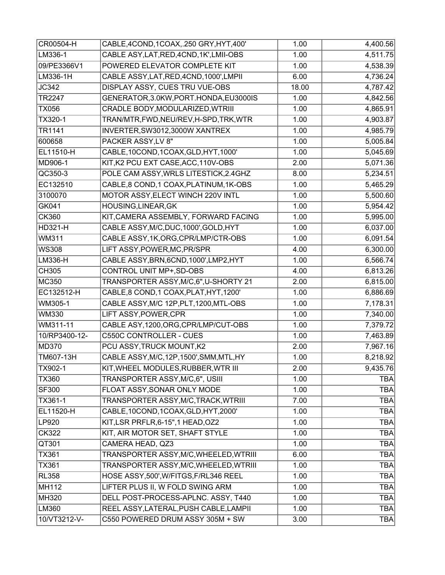| CR00504-H     | CABLE,4COND,1COAX,.250 GRY,HYT,400'       | 1.00  | 4,400.56   |
|---------------|-------------------------------------------|-------|------------|
| LM336-1       | CABLE ASY, LAT, RED, 4CND, 1K', LMII-OBS  | 1.00  | 4,511.75   |
| 09/PE3366V1   | POWERED ELEVATOR COMPLETE KIT             | 1.00  | 4,538.39   |
| LM336-1H      | CABLE ASSY, LAT, RED, 4CND, 1000', LMPII  | 6.00  | 4,736.24   |
| JC342         | DISPLAY ASSY, CUES TRU VUE-OBS            | 18.00 | 4,787.42   |
| TR2247        | GENERATOR, 3.0KW, PORT. HONDA, EU3000IS   | 1.00  | 4,842.56   |
| <b>TX056</b>  | CRADLE BODY, MODULARIZED, WTRIII          | 1.00  | 4,865.91   |
| TX320-1       | TRAN/MTR,FWD,NEU/REV,H-SPD,TRK,WTR        | 1.00  | 4,903.87   |
| TR1141        | INVERTER, SW3012, 3000W XANTREX           | 1.00  | 4,985.79   |
| 600658        | PACKER ASSY, LV 8"                        | 1.00  | 5,005.84   |
| EL11510-H     | CABLE, 10COND, 1COAX, GLD, HYT, 1000'     | 1.00  | 5,045.69   |
| MD906-1       | KIT, K2 PCU EXT CASE, ACC, 110V-OBS       | 2.00  | 5,071.36   |
| QC350-3       | POLE CAM ASSY, WRLS LITESTICK, 2.4GHZ     | 8.00  | 5,234.51   |
| EC132510      | CABLE, 8 COND, 1 COAX, PLATINUM, 1K-OBS   | 1.00  | 5,465.29   |
| 3100070       | MOTOR ASSY, ELECT WINCH 220V INTL         | 1.00  | 5,500.60   |
| GK041         | HOUSING, LINEAR, GK                       | 1.00  | 5,954.42   |
| <b>CK360</b>  | KIT, CAMERA ASSEMBLY, FORWARD FACING      | 1.00  | 5,995.00   |
| HD321-H       | CABLE ASSY, M/C, DUC, 1000', GOLD, HYT    | 1.00  | 6,037.00   |
| WM311         | CABLE ASSY, 1K, ORG, CPR/LMP/CTR-OBS      | 1.00  | 6,091.54   |
| <b>WS308</b>  | LIFT ASSY, POWER, MC, PR/SPR              | 4.00  | 6,300.00   |
| LM336-H       | CABLE ASSY, BRN, 6CND, 1000', LMP2, HYT   | 1.00  | 6,566.74   |
| CH305         | CONTROL UNIT MP+, SD-OBS                  | 4.00  | 6,813.26   |
| <b>MC350</b>  | TRANSPORTER ASSY, M/C, 6", U-SHORTY 21    | 2.00  | 6,815.00   |
| EC132512-H    | CABLE,8 COND,1 COAX, PLAT, HYT, 1200'     | 1.00  | 6,886.69   |
| WM305-1       | CABLE ASSY, M/C 12P, PLT, 1200, MTL-OBS   | 1.00  | 7,178.31   |
| <b>WM330</b>  | LIFT ASSY, POWER, CPR                     | 1.00  | 7,340.00   |
| WM311-11      | CABLE ASY, 1200, ORG, CPR/LMP/CUT-OBS     | 1.00  | 7,379.72   |
| 10/RP3400-12- | C550C CONTROLLER - CUES                   | 1.00  | 7,463.89   |
| <b>MD370</b>  | PCU ASSY, TRUCK MOUNT, K2                 | 2.00  | 7,967.16   |
| TM607-13H     | CABLE ASSY, M/C, 12P, 1500', SMM, MTL, HY | 1.00  | 8,218.92   |
| TX902-1       | KIT, WHEEL MODULES, RUBBER, WTR III       | 2.00  | 9,435.76   |
| <b>TX360</b>  | TRANSPORTER ASSY, M/C, 6", USIII          | 1.00  | <b>TBA</b> |
| SF300         | FLOAT ASSY, SONAR ONLY MODE               | 1.00  | <b>TBA</b> |
| TX361-1       | TRANSPORTER ASSY, M/C, TRACK, WTRIII      | 7.00  | <b>TBA</b> |
| EL11520-H     | CABLE, 10COND, 1COAX, GLD, HYT, 2000'     | 1.00  | <b>TBA</b> |
| LP920         | KIT, LSR PRFLR, 6-15", 1 HEAD, OZ2        | 1.00  | <b>TBA</b> |
| <b>CK322</b>  | KIT, AIR MOTOR SET, SHAFT STYLE           | 1.00  | <b>TBA</b> |
| QT301         | CAMERA HEAD, QZ3                          | 1.00  | <b>TBA</b> |
| TX361         | TRANSPORTER ASSY, M/C, WHEELED, WTRIII    | 6.00  | <b>TBA</b> |
| TX361         | TRANSPORTER ASSY, M/C, WHEELED, WTRIII    | 1.00  | <b>TBA</b> |
| <b>RL358</b>  | HOSE ASSY, 500', W/FITGS, F/RL346 REEL    | 1.00  | <b>TBA</b> |
| <b>MH112</b>  | LIFTER PLUS II, W FOLD SWING ARM          | 1.00  | <b>TBA</b> |
| MH320         | DELL POST-PROCESS-APLNC. ASSY, T440       | 1.00  | <b>TBA</b> |
| LM360         | REEL ASSY, LATERAL, PUSH CABLE, LAMPII    | 1.00  | <b>TBA</b> |
| 10/VT3212-V-  | C550 POWERED DRUM ASSY 305M + SW          | 3.00  | <b>TBA</b> |